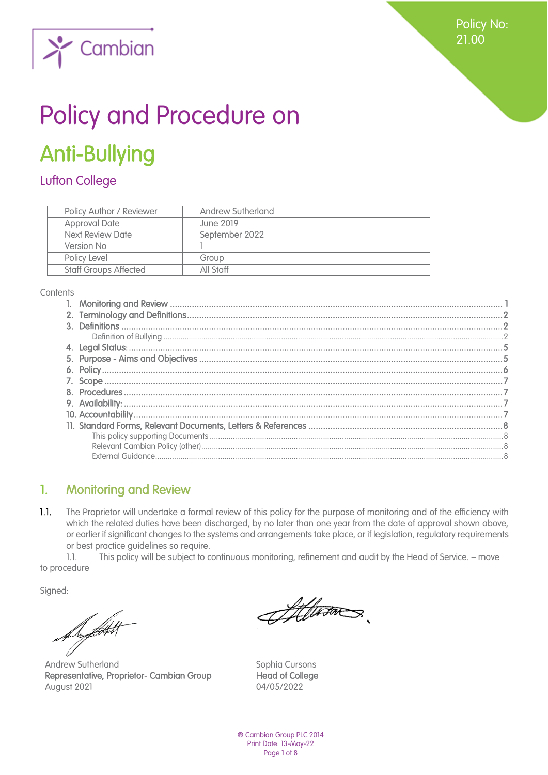Policy No: 21.00



# Policy and Procedure on

# Anti-Bullying

# Lufton College

| <b>Policy Author / Reviewer</b> | Andrew Sutherland |
|---------------------------------|-------------------|
| <b>Approval Date</b>            | June 2019         |
| Next Review Date                | September 2022    |
| Version No                      |                   |
| Policy Level                    | Group             |
| <b>Staff Groups Affected</b>    | All Staff         |

**Contents** 

## <span id="page-0-0"></span>1. Monitoring and Review

 $1.1.$ The Proprietor will undertake a formal review of this policy for the purpose of monitoring and of the efficiency with which the related duties have been discharged, by no later than one year from the date of approval shown above, or earlier if significant changes to the systems and arrangements take place, or if legislation, regulatory requirements or best practice guidelines so require.

1.1. This policy will be subject to continuous monitoring, refinement and audit by the Head of Service. – move to procedure

Sianed:

Superfield

Andrew Sutherland Sophia Cursons Representative, Proprietor- Cambian Group Head of College August 2021 **04/05/2022** 

Atterns

® Cambian Group PLC 2014 Print Date: 13-May-22 Page 1 of 8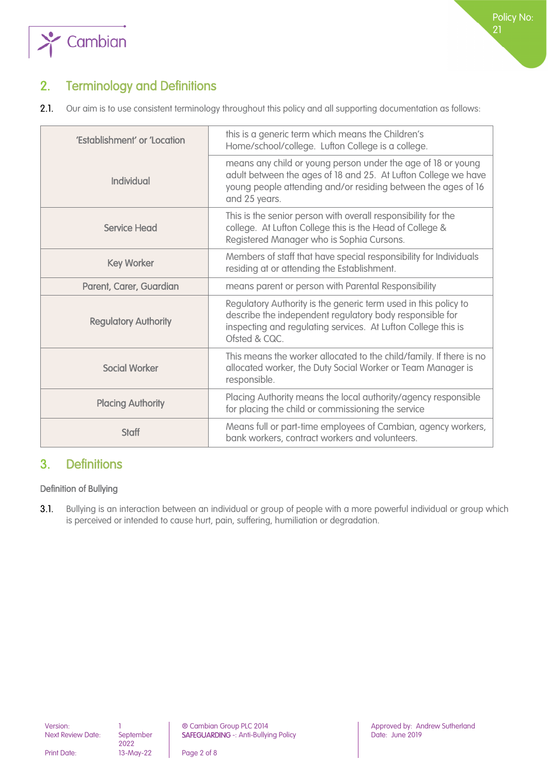

# <span id="page-1-0"></span>2. Terminology and Definitions

 $2.1.$ Our aim is to use consistent terminology throughout this policy and all supporting documentation as follows:

| 'Establishment' or 'Location | this is a generic term which means the Children's<br>Home/school/college. Lufton College is a college.                                                                                                           |  |
|------------------------------|------------------------------------------------------------------------------------------------------------------------------------------------------------------------------------------------------------------|--|
| <b>Individual</b>            | means any child or young person under the age of 18 or young<br>adult between the ages of 18 and 25. At Lufton College we have<br>young people attending and/or residing between the ages of 16<br>and 25 years. |  |
| <b>Service Head</b>          | This is the senior person with overall responsibility for the<br>college. At Lufton College this is the Head of College &<br>Registered Manager who is Sophia Cursons.                                           |  |
| <b>Key Worker</b>            | Members of staff that have special responsibility for Individuals<br>residing at or attending the Establishment.                                                                                                 |  |
| Parent, Carer, Guardian      | means parent or person with Parental Responsibility                                                                                                                                                              |  |
| <b>Regulatory Authority</b>  | Regulatory Authority is the generic term used in this policy to<br>describe the independent regulatory body responsible for<br>inspecting and regulating services. At Lufton College this is<br>Ofsted & CQC.    |  |
| <b>Social Worker</b>         | This means the worker allocated to the child/family. If there is no<br>allocated worker, the Duty Social Worker or Team Manager is<br>responsible.                                                               |  |
| <b>Placing Authority</b>     | Placing Authority means the local authority/agency responsible<br>for placing the child or commissioning the service                                                                                             |  |
| Staff                        | Means full or part-time employees of Cambian, agency workers,<br>bank workers, contract workers and volunteers.                                                                                                  |  |

### <span id="page-1-1"></span>3. Definitions

#### <span id="page-1-2"></span>Definition of Bullying

 $3.1.$ Bullying is an interaction between an individual or group of people with a more powerful individual or group which is perceived or intended to cause hurt, pain, suffering, humiliation or degradation.

2022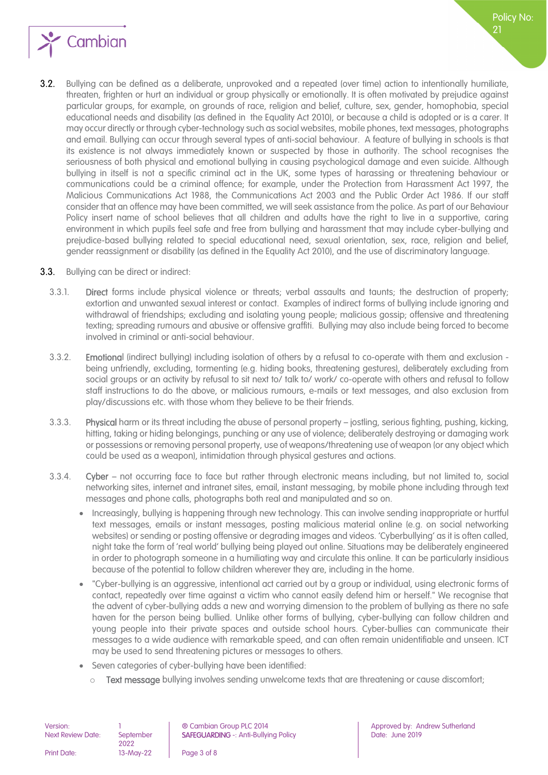

- $3.2.$ Bullying can be defined as a deliberate, unprovoked and a repeated (over time) action to intentionally humiliate, threaten, frighten or hurt an individual or group physically or emotionally. It is often motivated by prejudice against particular groups, for example, on grounds of race, religion and belief, culture, sex, gender, homophobia, special educational needs and disability (as defined in the Equality Act 2010), or because a child is adopted or is a carer. It may occur directly or through cyber-technology such as social websites, mobile phones, text messages, photographs and email. Bullying can occur through several types of anti-social behaviour. A feature of bullying in schools is that its existence is not always immediately known or suspected by those in authority. The school recognises the seriousness of both physical and emotional bullying in causing psychological damage and even suicide. Although bullying in itself is not a specific criminal act in the UK, some types of harassing or threatening behaviour or communications could be a criminal offence; for example, under the Protection from Harassment Act 1997, the Malicious Communications Act 1988, the Communications Act 2003 and the Public Order Act 1986. If our staff consider that an offence may have been committed, we will seek assistance from the police. As part of our Behaviour Policy insert name of school believes that all children and adults have the right to live in a supportive, caring environment in which pupils feel safe and free from bullying and harassment that may include cyber-bullying and prejudice-based bullying related to special educational need, sexual orientation, sex, race, religion and belief, gender reassignment or disability (as defined in the Equality Act 2010), and the use of discriminatory language.
- **3.3.** Bullying can be direct or indirect:
	- 3.3.1. Direct forms include physical violence or threats; verbal assaults and taunts; the destruction of property; extortion and unwanted sexual interest or contact. Examples of indirect forms of bullying include ignoring and withdrawal of friendships; excluding and isolating young people; malicious gossip; offensive and threatening texting; spreading rumours and abusive or offensive graffiti. Bullying may also include being forced to become involved in criminal or anti-social behaviour.
	- 3.3.2. Emotional (indirect bullying) including isolation of others by a refusal to co-operate with them and exclusion being unfriendly, excluding, tormenting (e.g. hiding books, threatening gestures), deliberately excluding from social groups or an activity by refusal to sit next to/ talk to/ work/ co-operate with others and refusal to follow staff instructions to do the above, or malicious rumours, e-mails or text messages, and also exclusion from play/discussions etc. with those whom they believe to be their friends.
	- 3.3.3. Physical harm or its threat including the abuse of personal property jostling, serious fighting, pushing, kicking, hitting, taking or hiding belongings, punching or any use of violence; deliberately destroying or damaging work or possessions or removing personal property, use of weapons/threatening use of weapon (or any object which could be used as a weapon), intimidation through physical gestures and actions.
	- 3.3.4. Cyber not occurring face to face but rather through electronic means including, but not limited to, social networking sites, internet and intranet sites, email, instant messaging, by mobile phone including through text messages and phone calls, photographs both real and manipulated and so on.
		- Increasingly, bullying is happening through new technology. This can involve sending inappropriate or hurtful text messages, emails or instant messages, posting malicious material online (e.g. on social networking websites) or sending or posting offensive or degrading images and videos. 'Cyberbullying' as it is often called, night take the form of 'real world' bullying being played out online. Situations may be deliberately engineered in order to photograph someone in a humiliating way and circulate this online. It can be particularly insidious because of the potential to follow children wherever they are, including in the home.
		- "Cyber-bullying is an aggressive, intentional act carried out by a group or individual, using electronic forms of contact, repeatedly over time against a victim who cannot easily defend him or herself." We recognise that the advent of cyber-bullying adds a new and worrying dimension to the problem of bullying as there no safe haven for the person being bullied. Unlike other forms of bullying, cyber-bullying can follow children and young people into their private spaces and outside school hours. Cyber-bullies can communicate their messages to a wide audience with remarkable speed, and can often remain unidentifiable and unseen. ICT may be used to send threatening pictures or messages to others.
		- Seven categories of cyber-bullying have been identified:
			- Text message bullying involves sending unwelcome texts that are threatening or cause discomfort;

| Version:                 |                   | ® Cambian Group PLC 2014                  |
|--------------------------|-------------------|-------------------------------------------|
| <b>Next Review Date:</b> | September<br>2022 | <b>SAFEGUARDING -: Anti-Bullying Poli</b> |
| <b>Print Date:</b>       | 13-May-22         | Page 3 of 8                               |

Approved by: Andrew Sutherland Safeguarding - Anti-Bullying Date: June 2019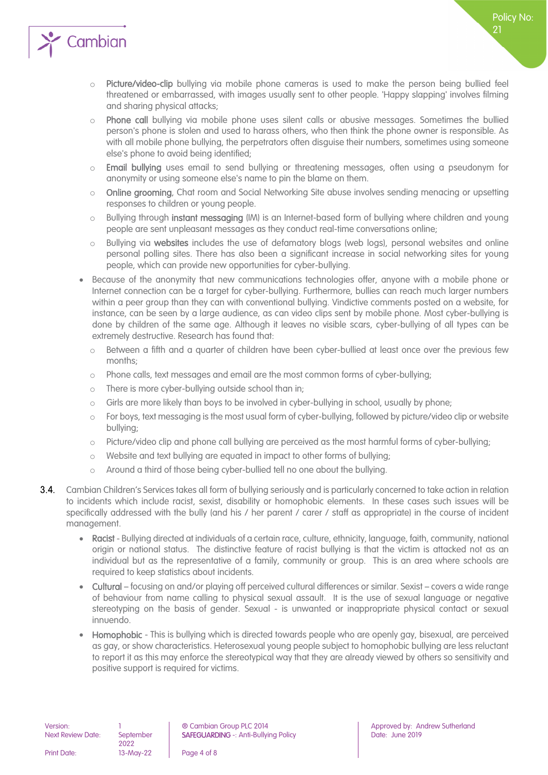

- o Picture/video-clip bullying via mobile phone cameras is used to make the person being bullied feel threatened or embarrassed, with images usually sent to other people. 'Happy slapping' involves filming and sharing physical attacks;
- o Phone call bullying via mobile phone uses silent calls or abusive messages. Sometimes the bullied person's phone is stolen and used to harass others, who then think the phone owner is responsible. As with all mobile phone bullying, the perpetrators often disguise their numbers, sometimes using someone else's phone to avoid being identified;
- Email bullying uses email to send bullying or threatening messages, often using a pseudonym for anonymity or using someone else's name to pin the blame on them.
- o **Online grooming**, Chat room and Social Networking Site abuse involves sending menacing or upsetting responses to children or young people.
- o Bullying through instant messaging (IM) is an Internet-based form of bullying where children and young people are sent unpleasant messages as they conduct real-time conversations online;
- o Bullying via websites includes the use of defamatory blogs (web logs), personal websites and online personal polling sites. There has also been a significant increase in social networking sites for young people, which can provide new opportunities for cyber-bullying.
- Because of the anonymity that new communications technologies offer, anyone with a mobile phone or Internet connection can be a target for cyber-bullying. Furthermore, bullies can reach much larger numbers within a peer group than they can with conventional bullying. Vindictive comments posted on a website, for instance, can be seen by a large audience, as can video clips sent by mobile phone. Most cyber-bullying is done by children of the same age. Although it leaves no visible scars, cyber-bullying of all types can be extremely destructive. Research has found that:
	- o Between a fifth and a quarter of children have been cyber-bullied at least once over the previous few months;
	- o Phone calls, text messages and email are the most common forms of cyber-bullying;
	- o There is more cyber-bullying outside school than in;
	- $\circ$  Girls are more likely than boys to be involved in cyber-bullying in school, usually by phone;
	- o For boys, text messaging is the most usual form of cyber-bullying, followed by picture/video clip or website bullying;
	- o Picture/video clip and phone call bullying are perceived as the most harmful forms of cyber-bullying;
	- o Website and text bullying are equated in impact to other forms of bullying;
	- o Around a third of those being cyber-bullied tell no one about the bullying.
- 3.4. Cambian Children's Services takes all form of bullying seriously and is particularly concerned to take action in relation to incidents which include racist, sexist, disability or homophobic elements. In these cases such issues will be specifically addressed with the bully (and his / her parent / carer / staff as appropriate) in the course of incident management.
	- Racist Bullying directed at individuals of a certain race, culture, ethnicity, language, faith, community, national origin or national status. The distinctive feature of racist bullying is that the victim is attacked not as an individual but as the representative of a family, community or group. This is an area where schools are required to keep statistics about incidents.
	- Cultural focusing on and/or playing off perceived cultural differences or similar. Sexist covers a wide range of behaviour from name calling to physical sexual assault. It is the use of sexual language or negative stereotyping on the basis of gender. Sexual - is unwanted or inappropriate physical contact or sexual innuendo.
	- Homophobic This is bullying which is directed towards people who are openly gay, bisexual, are perceived as gay, or show characteristics. Heterosexual young people subject to homophobic bullying are less reluctant to report it as this may enforce the stereotypical way that they are already viewed by others so sensitivity and positive support is required for victims.

Print Date: 13-May-22 Page 4 of 8

Version: 1 **1** © Cambian Group PLC 2014 **Approved by: Andrew Sutherland** 

Policy No: 21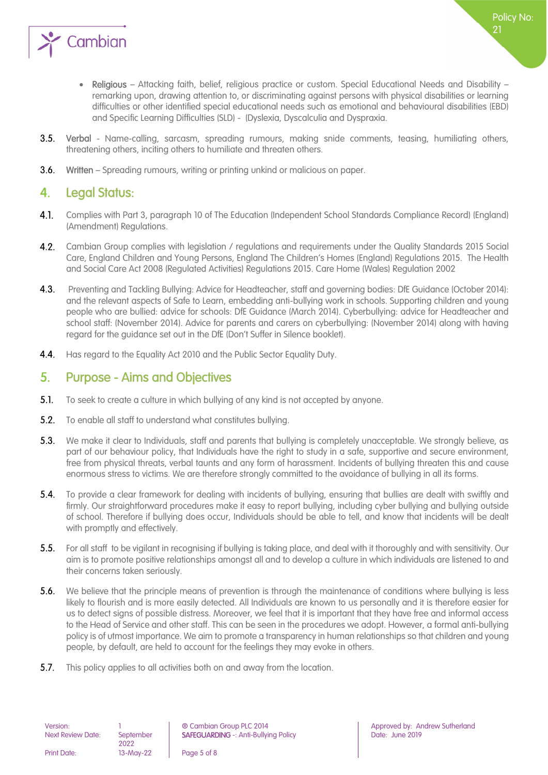

- **3.5.** Verbal Name-calling, sarcasm, spreading rumours, making snide comments, teasing, humiliating others, threatening others, inciting others to humiliate and threaten others.
- $3.6.$ Written – Spreading rumours, writing or printing unkind or malicious on paper.

#### <span id="page-4-0"></span>4. Legal Status:

- Complies with Part 3, paragraph 10 of The Education (Independent School Standards Compliance Record) (England) 4.1. (Amendment) Regulations.
- $4.2.$ Cambian Group complies with legislation / regulations and requirements under the Quality Standards 2015 Social Care, England Children and Young Persons, England The Children's Homes (England) Regulations 2015. The Health and Social Care Act 2008 (Regulated Activities) Regulations 2015. Care Home (Wales) Regulation 2002
- $4.3.$  Preventing and Tackling Bullying: Advice for Headteacher, staff and governing bodies: DfE Guidance (October 2014): and the relevant aspects of Safe to Learn, embedding anti-bullying work in schools. Supporting children and young people who are bullied: advice for schools: DfE Guidance (March 2014). Cyberbullying: advice for Headteacher and school staff: (November 2014). Advice for parents and carers on cyberbullying: (November 2014) along with having regard for the guidance set out in the DfE (Don't Suffer in Silence booklet).
- $4.4.$ Has regard to the Equality Act 2010 and the Public Sector Equality Duty.

#### <span id="page-4-1"></span>5. Purpose - Aims and Objectives

- $5.1.$ To seek to create a culture in which bullying of any kind is not accepted by anyone.
- $5.2.$ To enable all staff to understand what constitutes bullying.
- $5.3.$ We make it clear to Individuals, staff and parents that bullying is completely unacceptable. We strongly believe, as part of our behaviour policy, that Individuals have the right to study in a safe, supportive and secure environment, free from physical threats, verbal taunts and any form of harassment. Incidents of bullying threaten this and cause enormous stress to victims. We are therefore strongly committed to the avoidance of bullying in all its forms.
- $5.4.$ To provide a clear framework for dealing with incidents of bullying, ensuring that bullies are dealt with swiftly and firmly. Our straightforward procedures make it easy to report bullying, including cyber bullying and bullying outside of school. Therefore if bullying does occur, Individuals should be able to tell, and know that incidents will be dealt with promptly and effectively.
- $5.5.$ For all staff to be vigilant in recognising if bullying is taking place, and deal with it thoroughly and with sensitivity. Our aim is to promote positive relationships amongst all and to develop a culture in which individuals are listened to and their concerns taken seriously.
- $5.6.$ We believe that the principle means of prevention is through the maintenance of conditions where bullying is less likely to flourish and is more easily detected. All Individuals are known to us personally and it is therefore easier for us to detect signs of possible distress. Moreover, we feel that it is important that they have free and informal access to the Head of Service and other staff. This can be seen in the procedures we adopt. However, a formal anti-bullying policy is of utmost importance. We aim to promote a transparency in human relationships so that children and young people, by default, are held to account for the feelings they may evoke in others.
- $5.7.$ This policy applies to all activities both on and away from the location.

Policy No:

21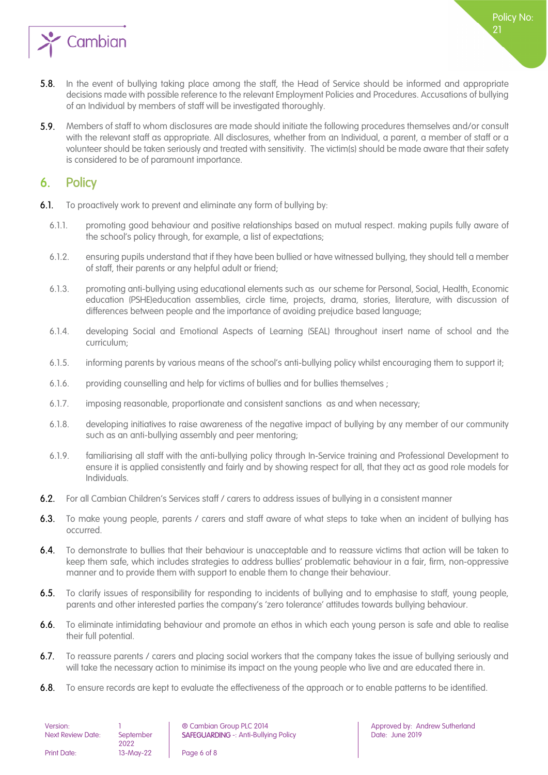

- $5.8.$ In the event of bullying taking place among the staff, the Head of Service should be informed and appropriate decisions made with possible reference to the relevant Employment Policies and Procedures. Accusations of bullying of an Individual by members of staff will be investigated thoroughly.
- $5.9.$ Members of staff to whom disclosures are made should initiate the following procedures themselves and/or consult with the relevant staff as appropriate. All disclosures, whether from an Individual, a parent, a member of staff or a volunteer should be taken seriously and treated with sensitivity. The victim(s) should be made aware that their safety is considered to be of paramount importance.

#### <span id="page-5-0"></span>6. Policy

- $6.1.$ To proactively work to prevent and eliminate any form of bullying by:
	- 6.1.1. promoting good behaviour and positive relationships based on mutual respect. making pupils fully aware of the school's policy through, for example, a list of expectations;
	- 6.1.2. ensuring pupils understand that if they have been bullied or have witnessed bullying, they should tell a member of staff, their parents or any helpful adult or friend;
	- 6.1.3. promoting anti-bullying using educational elements such as our scheme for Personal, Social, Health, Economic education (PSHE)education assemblies, circle time, projects, drama, stories, literature, with discussion of differences between people and the importance of avoiding prejudice based language;
	- 6.1.4. developing Social and Emotional Aspects of Learning (SEAL) throughout insert name of school and the curriculum;
	- 6.1.5. informing parents by various means of the school's anti-bullying policy whilst encouraging them to support it;
	- 6.1.6. providing counselling and help for victims of bullies and for bullies themselves ;
	- 6.1.7. imposing reasonable, proportionate and consistent sanctions as and when necessary;
	- 6.1.8. developing initiatives to raise awareness of the negative impact of bullying by any member of our community such as an anti-bullying assembly and peer mentoring;
	- 6.1.9. familiarising all staff with the anti-bullying policy through In-Service training and Professional Development to ensure it is applied consistently and fairly and by showing respect for all, that they act as good role models for Individuals.
- $6.2.$ For all Cambian Children's Services staff / carers to address issues of bullying in a consistent manner
- $6.3.$ To make young people, parents / carers and staff aware of what steps to take when an incident of bullying has occurred.
- $6.4.$ To demonstrate to bullies that their behaviour is unacceptable and to reassure victims that action will be taken to keep them safe, which includes strategies to address bullies' problematic behaviour in a fair, firm, non-oppressive manner and to provide them with support to enable them to change their behaviour.
- $6.5.$ To clarify issues of responsibility for responding to incidents of bullying and to emphasise to staff, young people, parents and other interested parties the company's 'zero tolerance' attitudes towards bullying behaviour.
- 6.6. To eliminate intimidating behaviour and promote an ethos in which each young person is safe and able to realise their full potential.
- $6.7.$ To reassure parents / carers and placing social workers that the company takes the issue of bullying seriously and will take the necessary action to minimise its impact on the young people who live and are educated there in.
- $6.8.$ To ensure records are kept to evaluate the effectiveness of the approach or to enable patterns to be identified.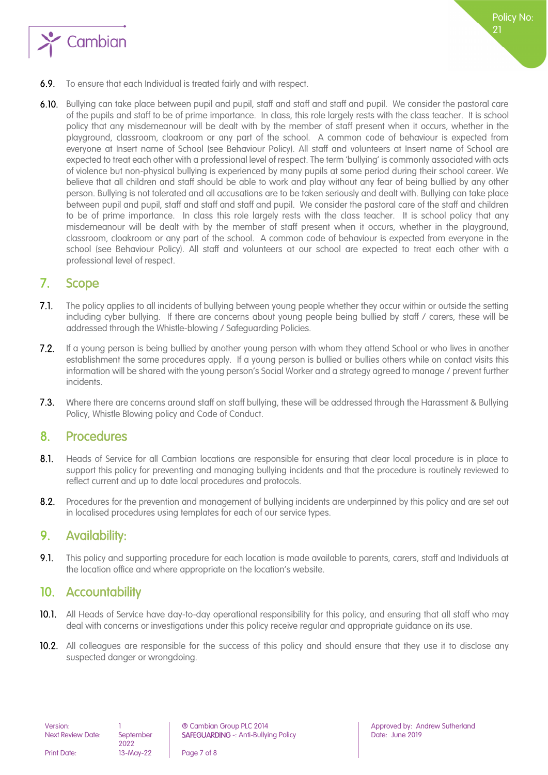

- $6.9.$ To ensure that each Individual is treated fairly and with respect.
- 6.10. Bullying can take place between pupil and pupil, staff and staff and staff and pupil. We consider the pastoral care of the pupils and staff to be of prime importance. In class, this role largely rests with the class teacher. It is school policy that any misdemeanour will be dealt with by the member of staff present when it occurs, whether in the playground, classroom, cloakroom or any part of the school. A common code of behaviour is expected from everyone at Insert name of School (see Behaviour Policy). All staff and volunteers at Insert name of School are expected to treat each other with a professional level of respect. The term 'bullying' is commonly associated with acts of violence but non-physical bullying is experienced by many pupils at some period during their school career. We believe that all children and staff should be able to work and play without any fear of being bullied by any other person. Bullying is not tolerated and all accusations are to be taken seriously and dealt with. Bullying can take place between pupil and pupil, staff and staff and staff and pupil. We consider the pastoral care of the staff and children to be of prime importance. In class this role largely rests with the class teacher. It is school policy that any misdemeanour will be dealt with by the member of staff present when it occurs, whether in the playground, classroom, cloakroom or any part of the school. A common code of behaviour is expected from everyone in the school (see Behaviour Policy). All staff and volunteers at our school are expected to treat each other with a professional level of respect.

#### <span id="page-6-0"></span>7. Scope

- $7.1$ The policy applies to all incidents of bullying between young people whether they occur within or outside the setting including cyber bullying. If there are concerns about young people being bullied by staff / carers, these will be addressed through the Whistle-blowing / Safeguarding Policies.
- $7.2.$ If a young person is being bullied by another young person with whom they attend School or who lives in another establishment the same procedures apply. If a young person is bullied or bullies others while on contact visits this information will be shared with the young person's Social Worker and a strategy agreed to manage / prevent further incidents.
- $7.3.$ Where there are concerns around staff on staff bullying, these will be addressed through the Harassment & Bullying Policy, Whistle Blowing policy and Code of Conduct.

#### <span id="page-6-1"></span>8. Procedures

- $8.1.$ Heads of Service for all Cambian locations are responsible for ensuring that clear local procedure is in place to support this policy for preventing and managing bullying incidents and that the procedure is routinely reviewed to reflect current and up to date local procedures and protocols.
- $8.2.$ Procedures for the prevention and management of bullying incidents are underpinned by this policy and are set out in localised procedures using templates for each of our service types.

#### <span id="page-6-2"></span>9. Availability:

 $9.1.$ This policy and supporting procedure for each location is made available to parents, carers, staff and Individuals at the location office and where appropriate on the location's website.

#### <span id="page-6-3"></span>10. Accountability

- 10.1. All Heads of Service have day-to-day operational responsibility for this policy, and ensuring that all staff who may deal with concerns or investigations under this policy receive regular and appropriate guidance on its use.
- 10.2. All colleagues are responsible for the success of this policy and should ensure that they use it to disclose any suspected danger or wrongdoing.